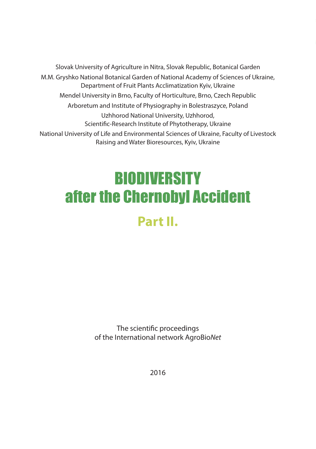Slovak University of Agriculture in Nitra, Slovak Republic, Botanical Garden M.M. Gryshko National Botanical Garden of National Academy of Sciences of Ukraine, Department of Fruit Plants Acclimatization Kyiv, Ukraine Mendel University in Brno, Faculty of Horticulture, Brno, Czech Republic Arboretum and Institute of Physiography in Bolestraszyce, Poland Uzhhorod National University, Uzhhorod, Scientific-Research Institute of Phytotherapy, Ukraine National University of Life and Environmental Sciences of Ukraine, Faculty of Livestock Raising and Water Bioresources, Kyiv, Ukraine

# **BIODIVERSITY** after the Chernobyl Accident **Part II.**

The scientific proceedings of the International network AgroBio*Net*

2016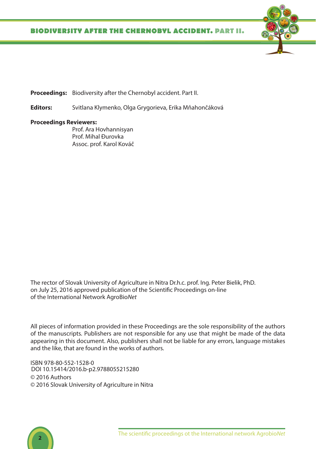

**Editors:** Svitlana Klymenko, Olga Grygorieva, Erika Mňahončáková

#### **Proceedings Reviewers:**

Prof. Ara Hovhannisyan Prof. Mihal Đurovka Assoc. prof. Karol Kováč

The rector of Slovak University of Agriculture in Nitra Dr.h.c. prof. Ing. Peter Bielik, PhD. on July 25, 2016 approved publication of the Scientific Proceedings on-line of the International Network AgroBio*Net*

All pieces of information provided in these Proceedings are the sole responsibility of the authors of the manuscripts. Publishers are not responsible for any use that might be made of the data appearing in this document. Also, publishers shall not be liable for any errors, language mistakes and the like, that are found in the works of authors.

ISBN 978-80-552-1528-0 © 2016 Authors © 2016 Slovak University of Agriculture in Nitra DOI [10.15414/2016.b-p2.9788055215280](http://dx.doi.org/10.15414/2016.b-p2.9788055215280)

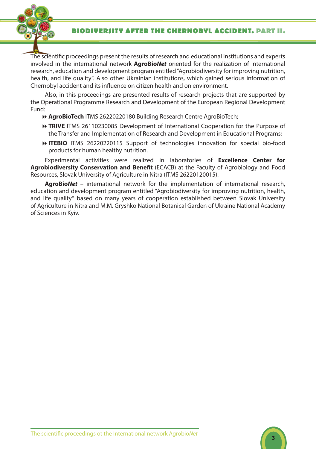## **BIODIVERSITY after the chernobyl accident. Part II.**



The scientific proceedings present the results of research and educational institutions and experts involved in the international network **AgroBio***Net* oriented for the realization of international research, education and development program entitled "Agrobiodiversity for improving nutrition, health, and life quality". Also other Ukrainian institutions, which gained serious information of Chernobyl accident and its influence on citizen health and on environment.

Also, in this proceedings are presented results of research projects that are supported by the Operational Programme Research and Development of the European Regional Development Fund:

**AgroBioTech** ITMS 26220220180 Building Research Centre AgroBioTech;

- **TRIVE** ITMS 26110230085 Development of International Cooperation for the Purpose of the Transfer and Implementation of Research and Development in Educational Programs;
- **ITEBIO** ITMS 26220220115 Support of technologies innovation for special bio-food products for human healthy nutrition.

Experimental activities were realized in laboratories of **Excellence Center for Agrobiodiversity Conservation and Benefit** (ECACB) at the Faculty of Agrobiology and Food Resources, Slovak University of Agriculture in Nitra (ITMS 26220120015).

**AgroBio***Net* – international network for the implementation of international research, education and development program entitled "Agrobiodiversity for improving nutrition, health, and life quality" based on many years of cooperation established between Slovak University of Agriculture in Nitra and M.M. Gryshko National Botanical Garden of Ukraine National Academy of Sciences in Kyiv.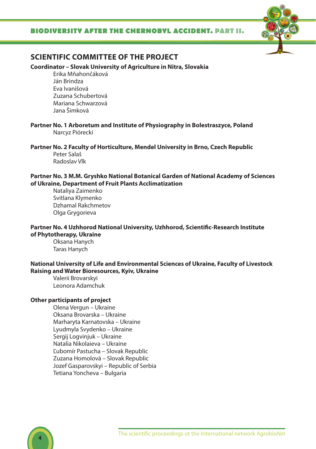## **BIODIVERSITY after the cher nobyl accide nt. Part II.**



# **SCIENTIFIC COMMITTEE OF THE PROJECT**

#### **Coordinator – Slovak University of Agriculture in Nitra, Slovakia**

Erika Mňahončáková Ján Brindza Eva Ivanišová Zuzana Schubertová Mariana Schwarzová Jana Šimková

**Partner No. 1 Arboretum and Institute of Physiography in Bolestraszyce, Poland** Narcyz Piórecki

**Partner No. 2 Faculty of Horticulture, Mendel University in Brno, Czech Republic** Peter Salaš Radoslav Vlk

**Partner No. 3 M.M. Gryshko National Botanical Garden of National Academy of Sciences of Ukraine, Department of Fruit Plants Acclimatization** 

Nataliya Zaimenko Svitlana Klymenko Dzhamal Rakchmetov Olga Grygorieva

#### **Partner No. 4 Uzhhorod National University, Uzhhorod, Scientific-Research Institute of Phytotherapy, Ukraine**

Oksana Hanych Taras Hanych

### **National University of Life and Environmental Sciences of Ukraine, Faculty of Livestock Raising and Water Bioresources, Kyiv, Ukraine**

Valerii Brovarskyi Leonora Adamchuk

#### **Other participants of project**

Olena Vergun – Ukraine Oksana Brovarska – Ukraine Marharyta Karnatovska – Ukraine Lyudmyla Svydenko – Ukraine Sergij Logvinjuk – Ukraine Natalia Nikolaieva – Ukraine Ľubomír Pastucha – Slovak Republic Zuzana Homolová – Slovak Republic Jozef Gasparovskyi – Republic of Serbia Tetiana Yoncheva – Bulgaria